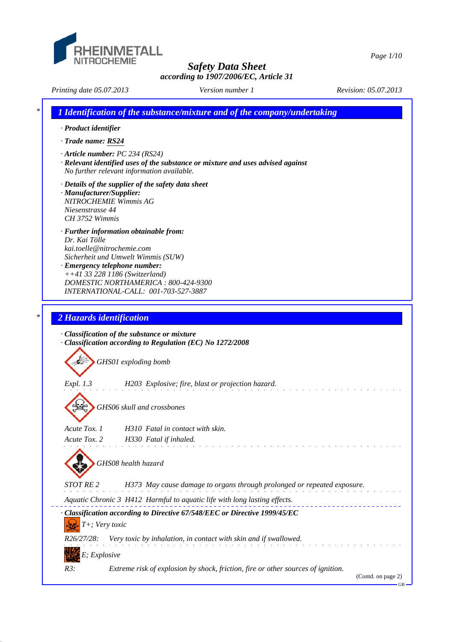

*Page 1/10*

*Printing date 05.07.2013 Revision: 05.07.2013 Version number 1*

*\* 1 Identification of the substance/mixture and of the company/undertaking · Product identifier · Trade name: RS24 · Article number: PC 234 (RS24) · Relevant identified uses of the substance or mixture and uses advised against No further relevant information available. · Details of the supplier of the safety data sheet · Manufacturer/Supplier: NITROCHEMIE Wimmis AG Niesenstrasse 44 CH 3752 Wimmis · Further information obtainable from: Dr. Kai Tölle kai.toelle@nitrochemie.com Sicherheit und Umwelt Wimmis (SUW) · Emergency telephone number: ++41 33 228 1186 (Switzerland) DOMESTIC NORTHAMERICA : 800-424-9300 INTERNATIONAL-CALL: 001-703-527-3887 \* 2 Hazards identification · Classification of the substance or mixture · Classification according to Regulation (EC) No 1272/2008 GHS01 exploding bomb Expl. 1.3 H203 Explosive; fire, blast or projection hazard. GHS06 skull and crossbones Acute Tox. 1 H310 Fatal in contact with skin. Acute Tox. 2 H330 Fatal if inhaled. GHS08 health hazard STOT RE 2 H373 May cause damage to organs through prolonged or repeated exposure. Aquatic Chronic 3 H412 Harmful to aquatic life with long lasting effects. · Classification according to Directive 67/548/EEC or Directive 1999/45/EC T+; Very toxic R26/27/28: Very toxic by inhalation, in contact with skin and if swallowed. E; Explosive R3: Extreme risk of explosion by shock, friction, fire or other sources of ignition.* (Contd. on page 2) GB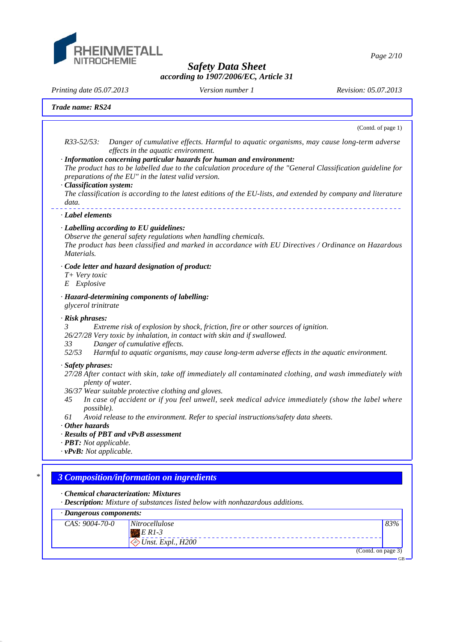

*Page 2/10*

*Safety Data Sheet according to 1907/2006/EC, Article 31*

*Printing date 05.07.2013 Revision: 05.07.2013 Version number 1*

(Contd. on page 3)

GB

|                                                                                                                                               | Trade name: RS24                                                                                                                                                                                                                                                                                                                                                                                                                                                                                   |  |
|-----------------------------------------------------------------------------------------------------------------------------------------------|----------------------------------------------------------------------------------------------------------------------------------------------------------------------------------------------------------------------------------------------------------------------------------------------------------------------------------------------------------------------------------------------------------------------------------------------------------------------------------------------------|--|
|                                                                                                                                               | (Contd. of page 1)                                                                                                                                                                                                                                                                                                                                                                                                                                                                                 |  |
| $R33 - 52/53$ :<br>· Classification system:<br>data.                                                                                          | Danger of cumulative effects. Harmful to aquatic organisms, may cause long-term adverse<br>effects in the aquatic environment.<br>· Information concerning particular hazards for human and environment:<br>The product has to be labelled due to the calculation procedure of the "General Classification guideline for<br>preparations of the EU" in the latest valid version.<br>The classification is according to the latest editions of the EU-lists, and extended by company and literature |  |
| · Label elements                                                                                                                              |                                                                                                                                                                                                                                                                                                                                                                                                                                                                                                    |  |
| Materials.                                                                                                                                    | · Labelling according to EU guidelines:<br>Observe the general safety regulations when handling chemicals.<br>The product has been classified and marked in accordance with EU Directives / Ordinance on Hazardous                                                                                                                                                                                                                                                                                 |  |
| $T+$ Very toxic<br>E Explosive                                                                                                                | · Code letter and hazard designation of product:                                                                                                                                                                                                                                                                                                                                                                                                                                                   |  |
| glycerol trinitrate                                                                                                                           | · Hazard-determining components of labelling:                                                                                                                                                                                                                                                                                                                                                                                                                                                      |  |
| · Risk phrases:<br>$\mathfrak{Z}$<br>33<br>52/53                                                                                              | Extreme risk of explosion by shock, friction, fire or other sources of ignition.<br>26/27/28 Very toxic by inhalation, in contact with skin and if swallowed.<br>Danger of cumulative effects.<br>Harmful to aquatic organisms, may cause long-term adverse effects in the aquatic environment.                                                                                                                                                                                                    |  |
| · Safety phrases:<br>45<br>possible).<br>61<br>$\cdot$ Other hazards<br>$\cdot$ <b>PBT</b> : Not applicable.<br>$\cdot$ vPvB: Not applicable. | 27/28 After contact with skin, take off immediately all contaminated clothing, and wash immediately with<br>plenty of water.<br>36/37 Wear suitable protective clothing and gloves.<br>In case of accident or if you feel unwell, seek medical advice immediately (show the label where<br>Avoid release to the environment. Refer to special instructions/safety data sheets.<br>· Results of PBT and vPvB assessment                                                                             |  |
|                                                                                                                                               | <b>3 Composition/information on ingredients</b>                                                                                                                                                                                                                                                                                                                                                                                                                                                    |  |
|                                                                                                                                               | Chemical characterization: Mixtures<br>· Description: Mixture of substances listed below with nonhazardous additions.                                                                                                                                                                                                                                                                                                                                                                              |  |
|                                                                                                                                               | · Dangerous components:                                                                                                                                                                                                                                                                                                                                                                                                                                                                            |  |
| CAS: 9004-70-0                                                                                                                                | Nitrocellulose<br>83%                                                                                                                                                                                                                                                                                                                                                                                                                                                                              |  |

 *E R1-3*

 *Unst. Expl., H200*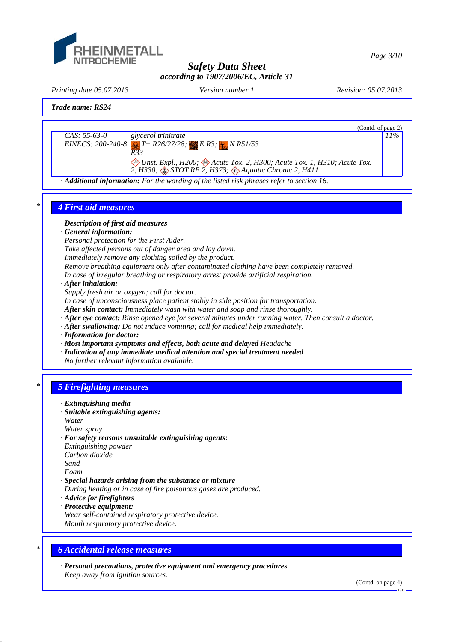

*Page 3/10*

*Safety Data Sheet according to 1907/2006/EC, Article 31*

*Printing date 05.07.2013 Revision: 05.07.2013 Version number 1*



## *\* 6 Accidental release measures*

*· Personal precautions, protective equipment and emergency procedures Keep away from ignition sources.*

(Contd. on page 4)

GB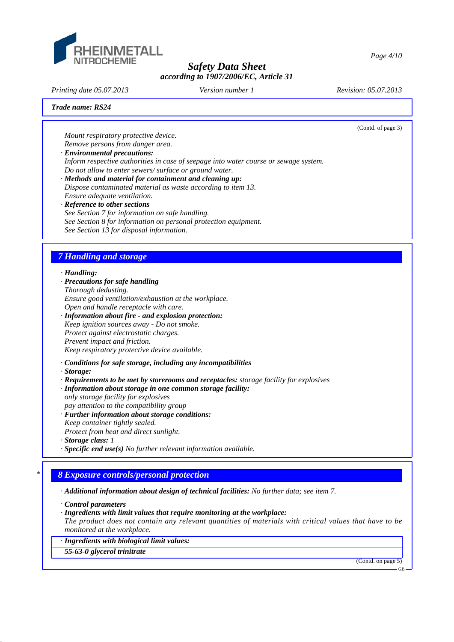

*Printing date 05.07.2013 Revision: 05.07.2013 Version number 1*

(Contd. of page 3)

*Page 4/10*

#### *Trade name: RS24*

*Mount respiratory protective device. Remove persons from danger area.*

- *· Environmental precautions: Inform respective authorities in case of seepage into water course or sewage system. Do not allow to enter sewers/ surface or ground water.*
- *· Methods and material for containment and cleaning up: Dispose contaminated material as waste according to item 13. Ensure adequate ventilation.*
- *· Reference to other sections See Section 7 for information on safe handling. See Section 8 for information on personal protection equipment. See Section 13 for disposal information.*

## *7 Handling and storage*

#### *· Handling:*

- *· Precautions for safe handling*
- *Thorough dedusting.*

*Ensure good ventilation/exhaustion at the workplace. Open and handle receptacle with care.*

- *· Information about fire and explosion protection: Keep ignition sources away - Do not smoke. Protect against electrostatic charges. Prevent impact and friction. Keep respiratory protective device available.*
- *· Conditions for safe storage, including any incompatibilities*
- *· Storage:*
- *· Requirements to be met by storerooms and receptacles: storage facility for explosives*
- *· Information about storage in one common storage facility: only storage facility for explosives*
- *pay attention to the compatibility group*
- *· Further information about storage conditions:*
- *Keep container tightly sealed.*
- *Protect from heat and direct sunlight.*
- *· Storage class: 1*
- *· Specific end use(s) No further relevant information available.*

# *\* 8 Exposure controls/personal protection*

- *· Additional information about design of technical facilities: No further data; see item 7.*
- *· Control parameters*
- *· Ingredients with limit values that require monitoring at the workplace:*

*The product does not contain any relevant quantities of materials with critical values that have to be monitored at the workplace.*

*· Ingredients with biological limit values:*

*55-63-0 glycerol trinitrate*

(Contd. on page 5)

GB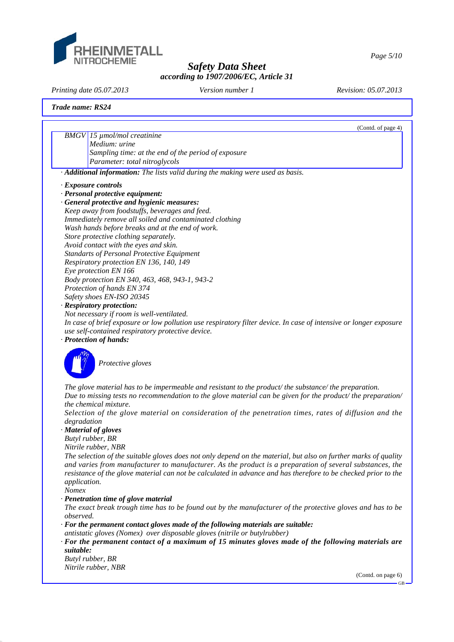

*Page 5/10*

*Safety Data Sheet according to 1907/2006/EC, Article 31*

*Printing date 05.07.2013 Revision: 05.07.2013 Version number 1*

(Contd. of page 4)

*Trade name: RS24*

*BMGV 15 µmol/mol creatinine Medium: urine Sampling time: at the end of the period of exposure Parameter: total nitroglycols*

*· Additional information: The lists valid during the making were used as basis.*

- *· Exposure controls*
- *· Personal protective equipment:*
- *· General protective and hygienic measures: Keep away from foodstuffs, beverages and feed. Immediately remove all soiled and contaminated clothing Wash hands before breaks and at the end of work. Store protective clothing separately. Avoid contact with the eyes and skin. Standarts of Personal Protective Equipment Respiratory protection EN 136, 140, 149 Eye protection EN 166 Body protection EN 340, 463, 468, 943-1, 943-2 Protection of hands EN 374*

*Safety shoes EN-ISO 20345*

*· Respiratory protection:*

*Not necessary if room is well-ventilated.*

*In case of brief exposure or low pollution use respiratory filter device. In case of intensive or longer exposure use self-contained respiratory protective device.*

*· Protection of hands:*



*Protective gloves*

*The glove material has to be impermeable and resistant to the product/ the substance/ the preparation. Due to missing tests no recommendation to the glove material can be given for the product/ the preparation/ the chemical mixture.*

*Selection of the glove material on consideration of the penetration times, rates of diffusion and the degradation*

*· Material of gloves*

*Butyl rubber, BR*

*Nitrile rubber, NBR*

*The selection of the suitable gloves does not only depend on the material, but also on further marks of quality and varies from manufacturer to manufacturer. As the product is a preparation of several substances, the resistance of the glove material can not be calculated in advance and has therefore to be checked prior to the application.*

*Nomex*

*· Penetration time of glove material*

*The exact break trough time has to be found out by the manufacturer of the protective gloves and has to be observed.*

*· For the permanent contact gloves made of the following materials are suitable: antistatic gloves (Nomex) over disposable gloves (nitrile or butylrubber)*

*· For the permanent contact of a maximum of 15 minutes gloves made of the following materials are suitable:*

*Butyl rubber, BR Nitrile rubber, NBR*

(Contd. on page 6)

GB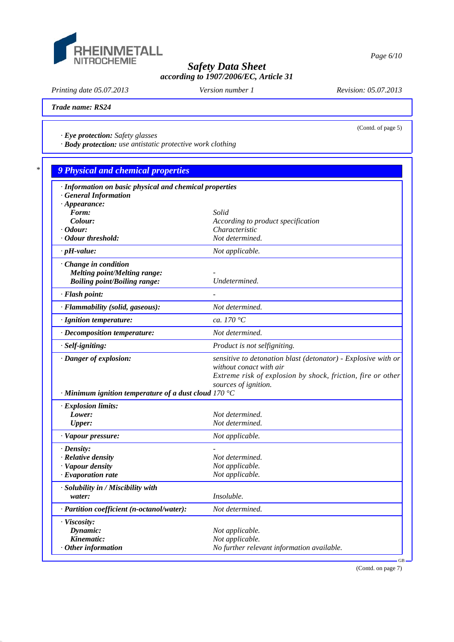

*Printing date 05.07.2013 Revision: 05.07.2013 Version number 1*

(Contd. of page 5)

*Trade name: RS24*

*· Eye protection: Safety glasses*

*· Body protection: use antistatic protective work clothing*

| · Information on basic physical and chemical properties     |                                                               |
|-------------------------------------------------------------|---------------------------------------------------------------|
| <b>General Information</b>                                  |                                                               |
| $\cdot$ Appearance:                                         |                                                               |
| Form:                                                       | Solid                                                         |
| Colour:                                                     | According to product specification                            |
| $\cdot$ Odour:                                              | Characteristic                                                |
| · Odour threshold:                                          | Not determined.                                               |
| $\cdot$ pH-value:                                           | Not applicable.                                               |
| Change in condition                                         |                                                               |
| <b>Melting point/Melting range:</b>                         |                                                               |
| <b>Boiling point/Boiling range:</b>                         | Undetermined.                                                 |
| · Flash point:                                              |                                                               |
| · Flammability (solid, gaseous):                            | Not determined.                                               |
| · Ignition temperature:                                     | ca. 170 °C                                                    |
| · Decomposition temperature:                                | Not determined.                                               |
| · Self-igniting:                                            | Product is not selfigniting.                                  |
| · Danger of explosion:                                      | sensitive to detonation blast (detonator) - Explosive with or |
|                                                             | without conact with air                                       |
|                                                             | Extreme risk of explosion by shock, friction, fire or other   |
|                                                             | sources of ignition.                                          |
| $\cdot$ Minimum ignition temperature of a dust cloud 170 °C |                                                               |
| · Explosion limits:                                         |                                                               |
| Lower:                                                      | Not determined.                                               |
| <b>Upper:</b>                                               | Not determined.                                               |
| · Vapour pressure:                                          | Not applicable.                                               |
| $\cdot$ Density:                                            |                                                               |
| · Relative density                                          | Not determined.                                               |
| · Vapour density                                            | Not applicable.                                               |
| $\cdot$ Evaporation rate                                    | Not applicable.                                               |
| · Solubility in / Miscibility with                          |                                                               |
| water:                                                      | Insoluble.                                                    |
| · Partition coefficient (n-octanol/water):                  | Not determined.                                               |
| · Viscosity:                                                |                                                               |
| Dynamic:                                                    | Not applicable.                                               |
| Kinematic:                                                  | Not applicable.                                               |
| Other information                                           | No further relevant information available.                    |

(Contd. on page 7)

*Page 6/10*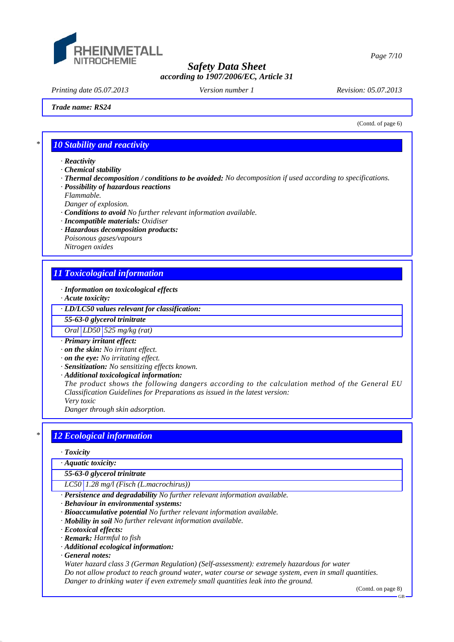

*Printing date 05.07.2013 Revision: 05.07.2013 Version number 1*

*Trade name: RS24*

*Page 7/10*

(Contd. of page 6)

## *\* 10 Stability and reactivity*

- *· Reactivity*
- *· Chemical stability*
- *· Thermal decomposition / conditions to be avoided: No decomposition if used according to specifications.*
- *· Possibility of hazardous reactions*
- *Flammable.*
- *Danger of explosion.*
- *· Conditions to avoid No further relevant information available.*
- *· Incompatible materials: Oxidiser*
- *· Hazardous decomposition products: Poisonous gases/vapours Nitrogen oxides*

## *11 Toxicological information*

- *· Information on toxicological effects*
- *· Acute toxicity:*
- *· LD/LC50 values relevant for classification:*
- *55-63-0 glycerol trinitrate*

*Oral LD50 525 mg/kg (rat)*

- *· Primary irritant effect:*
- *· on the skin: No irritant effect.*
- *· on the eye: No irritating effect.*
- *· Sensitization: No sensitizing effects known.*
- *· Additional toxicological information:*

*The product shows the following dangers according to the calculation method of the General EU Classification Guidelines for Preparations as issued in the latest version: Very toxic*

*Danger through skin adsorption.*

## *\* 12 Ecological information*

## *· Toxicity*

*· Aquatic toxicity:*

*55-63-0 glycerol trinitrate*

*LC50 1.28 mg/l (Fisch (L.macrochirus))*

*· Persistence and degradability No further relevant information available.*

- *· Behaviour in environmental systems:*
- *· Bioaccumulative potential No further relevant information available.*
- *· Mobility in soil No further relevant information available.*
- *· Ecotoxical effects:*
- *· Remark: Harmful to fish*
- *· Additional ecological information:*
- *· General notes:*

*Water hazard class 3 (German Regulation) (Self-assessment): extremely hazardous for water Do not allow product to reach ground water, water course or sewage system, even in small quantities. Danger to drinking water if even extremely small quantities leak into the ground.*

(Contd. on page 8)

GB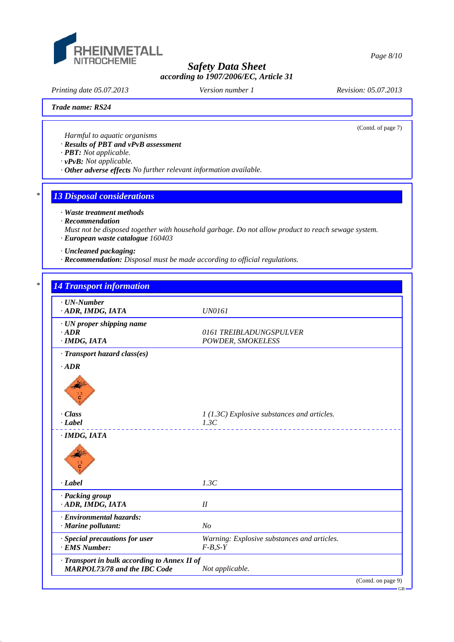

*Printing date 05.07.2013 Revision: 05.07.2013 Version number 1*

(Contd. of page 7)

#### *Trade name: RS24*

*Harmful to aquatic organisms*

*· Results of PBT and vPvB assessment*

*· PBT: Not applicable.*

*· vPvB: Not applicable.*

*· Other adverse effects No further relevant information available.*

# *\* 13 Disposal considerations*

*· Waste treatment methods*

*· Recommendation*

*Must not be disposed together with household garbage. Do not allow product to reach sewage system. · European waste catalogue 160403*

*· Uncleaned packaging:*

*· Recommendation: Disposal must be made according to official regulations.*

*\* 14 Transport information*

| $\cdot$ UN-Number<br>· ADR, IMDG, IATA                                              | <b>UN0161</b>                                            |
|-------------------------------------------------------------------------------------|----------------------------------------------------------|
| $\cdot$ UN proper shipping name<br>$\cdot$ <i>ADR</i><br>$·$ <i>IMDG, IATA</i>      | 0161 TREIBLADUNGSPULVER<br>POWDER, SMOKELESS             |
| · Transport hazard class(es)                                                        |                                                          |
| $\cdot$ <i>ADR</i>                                                                  |                                                          |
| $\cdot$ Class                                                                       | 1 (1.3C) Explosive substances and articles.              |
| $\cdot$ <i>Label</i>                                                                | 1.3C                                                     |
| $·$ <i>IMDG, IATA</i>                                                               |                                                          |
| $\cdot$ <i>Label</i>                                                                | 1.3C                                                     |
| · Packing group<br>· ADR, IMDG, IATA                                                | $I\!I$                                                   |
| · Environmental hazards:<br>· Marine pollutant:                                     | N <sub>O</sub>                                           |
| · Special precautions for user<br>· EMS Number:                                     | Warning: Explosive substances and articles.<br>$F-B,S-Y$ |
| · Transport in bulk according to Annex II of<br><b>MARPOL73/78 and the IBC Code</b> | Not applicable.                                          |
|                                                                                     | (Contd. on page 9)                                       |

GB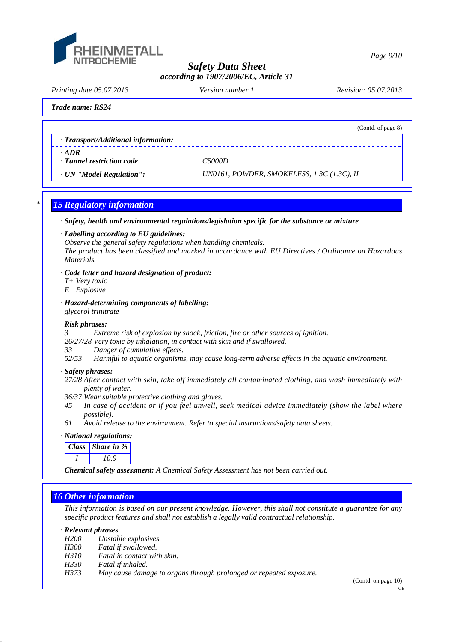

*Page 9/10*

## *Safety Data Sheet according to 1907/2006/EC, Article 31*

*Printing date 05.07.2013 Revision: 05.07.2013 Version number 1*

(Contd. of page 8)

## *Trade name: RS24*

| · Transport/Additional information: |  |  |  |
|-------------------------------------|--|--|--|
|-------------------------------------|--|--|--|

- *· ADR*
- *· Tunnel restriction code C5000D*

*· UN "Model Regulation": UN0161, POWDER, SMOKELESS, 1.3C (1.3C), II*

# *\* 15 Regulatory information*

*· Safety, health and environmental regulations/legislation specific for the substance or mixture*

## *· Labelling according to EU guidelines:*

*Observe the general safety regulations when handling chemicals. The product has been classified and marked in accordance with EU Directives / Ordinance on Hazardous Materials.*

## *· Code letter and hazard designation of product:*

- *T+ Very toxic*
- *E Explosive*
- *· Hazard-determining components of labelling: glycerol trinitrate*

## *· Risk phrases:*

*Extreme risk of explosion by shock, friction, fire or other sources of ignition.* 

*26/27/28 Very toxic by inhalation, in contact with skin and if swallowed.*

- *33 Danger of cumulative effects.*
- *52/53 Harmful to aquatic organisms, may cause long-term adverse effects in the aquatic environment.*

## *· Safety phrases:*

- *27/28 After contact with skin, take off immediately all contaminated clothing, and wash immediately with plenty of water.*
- *36/37 Wear suitable protective clothing and gloves.*
- *45 In case of accident or if you feel unwell, seek medical advice immediately (show the label where possible).*
- *61 Avoid release to the environment. Refer to special instructions/safety data sheets.*

## *· National regulations:*

| Class Share in $\%$ |
|---------------------|
| 10 9                |

*· Chemical safety assessment: A Chemical Safety Assessment has not been carried out.*

# *16 Other information*

*This information is based on our present knowledge. However, this shall not constitute a guarantee for any specific product features and shall not establish a legally valid contractual relationship.*

## *· Relevant phrases*

- *H200 Unstable explosives.*
- *H300 Fatal if swallowed.*
- *H310 Fatal in contact with skin.*
- *H330 Fatal if inhaled.*
- *H373 May cause damage to organs through prolonged or repeated exposure.*

(Contd. on page 10)

GB